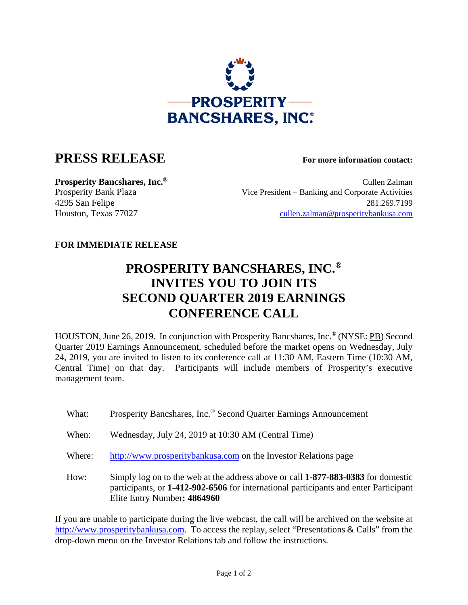

## **PRESS RELEASE For more information contact:**

**Prosperity Bancshares, Inc.<sup>®</sup> Cullen Zalman** Prosperity Bank Plaza Vice President – Banking and Corporate Activities 4295 San Felipe 281.269.7199 Houston, Texas 77027 cullen.zalman@prosperitybankusa.com

## **FOR IMMEDIATE RELEASE**

## **PROSPERITY BANCSHARES, INC.® INVITES YOU TO JOIN ITS SECOND QUARTER 2019 EARNINGS CONFERENCE CALL**

HOUSTON, June 26, 2019. In conjunction with Prosperity Bancshares, Inc.® (NYSE: PB) Second Quarter 2019 Earnings Announcement, scheduled before the market opens on Wednesday, July 24, 2019, you are invited to listen to its conference call at 11:30 AM, Eastern Time (10:30 AM, Central Time) on that day. Participants will include members of Prosperity's executive management team.

- What: Prosperity Bancshares, Inc.<sup>®</sup> Second Quarter Earnings Announcement
- When: Wednesday, July 24, 2019 at 10:30 AM (Central Time)
- Where: http://www.prosperitybankusa.com on the Investor Relations page
- How: Simply log on to the web at the address above or call **1-877-883-0383** for domestic participants, or **1-412-902-6506** for international participants and enter Participant Elite Entry Number**: 4864960**

If you are unable to participate during the live webcast, the call will be archived on the website at http://www.prosperitybankusa.com. To access the replay, select "Presentations & Calls" from the drop-down menu on the Investor Relations tab and follow the instructions.